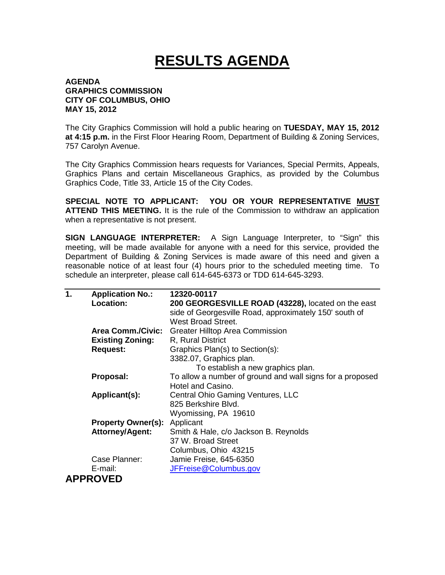## **RESULTS AGENDA**

## **AGENDA GRAPHICS COMMISSION CITY OF COLUMBUS, OHIO MAY 15, 2012**

The City Graphics Commission will hold a public hearing on **TUESDAY, MAY 15, 2012 at 4:15 p.m.** in the First Floor Hearing Room, Department of Building & Zoning Services, 757 Carolyn Avenue.

The City Graphics Commission hears requests for Variances, Special Permits, Appeals, Graphics Plans and certain Miscellaneous Graphics, as provided by the Columbus Graphics Code, Title 33, Article 15 of the City Codes.

**SPECIAL NOTE TO APPLICANT: YOU OR YOUR REPRESENTATIVE MUST ATTEND THIS MEETING.** It is the rule of the Commission to withdraw an application when a representative is not present.

**SIGN LANGUAGE INTERPRETER:** A Sign Language Interpreter, to "Sign" this meeting, will be made available for anyone with a need for this service, provided the Department of Building & Zoning Services is made aware of this need and given a reasonable notice of at least four (4) hours prior to the scheduled meeting time. To schedule an interpreter, please call 614-645-6373 or TDD 614-645-3293.

| $\mathbf 1$ . | <b>Application No.:</b>   | 12320-00117                                               |
|---------------|---------------------------|-----------------------------------------------------------|
|               | Location:                 | 200 GEORGESVILLE ROAD (43228), located on the east        |
|               |                           | side of Georgesville Road, approximately 150' south of    |
|               |                           | West Broad Street.                                        |
|               | Area Comm./Civic:         | <b>Greater Hilltop Area Commission</b>                    |
|               | <b>Existing Zoning:</b>   | R, Rural District                                         |
|               | <b>Request:</b>           | Graphics Plan(s) to Section(s):                           |
|               |                           | 3382.07, Graphics plan.                                   |
|               |                           | To establish a new graphics plan.                         |
|               | Proposal:                 | To allow a number of ground and wall signs for a proposed |
|               |                           | Hotel and Casino.                                         |
|               | Applicant(s):             | Central Ohio Gaming Ventures, LLC                         |
|               |                           | 825 Berkshire Blvd.                                       |
|               |                           | Wyomissing, PA 19610                                      |
|               | <b>Property Owner(s):</b> | Applicant                                                 |
|               | <b>Attorney/Agent:</b>    | Smith & Hale, c/o Jackson B. Reynolds                     |
|               |                           | 37 W. Broad Street                                        |
|               |                           | Columbus, Ohio 43215                                      |
|               | Case Planner:             | Jamie Freise, 645-6350                                    |
|               | E-mail:                   | JFFreise@Columbus.gov                                     |
|               | <b>APPROVED</b>           |                                                           |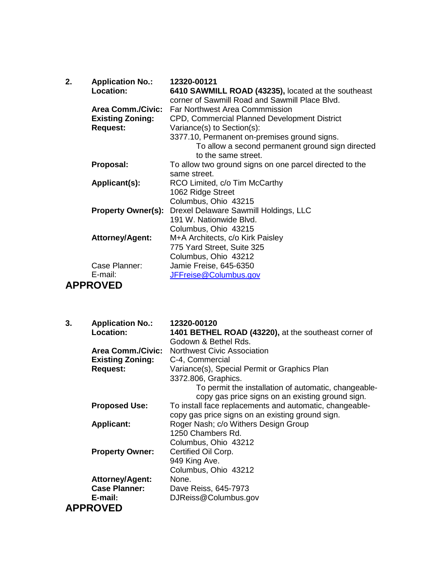| 2. | <b>Application No.:</b><br>Location: | 12320-00121<br>6410 SAWMILL ROAD (43235), located at the southeast<br>corner of Sawmill Road and Sawmill Place Blvd. |
|----|--------------------------------------|----------------------------------------------------------------------------------------------------------------------|
|    | <b>Area Comm./Civic:</b>             | Far Northwest Area Commmission                                                                                       |
|    | <b>Existing Zoning:</b>              | CPD, Commercial Planned Development District                                                                         |
|    | <b>Request:</b>                      | Variance(s) to Section(s):                                                                                           |
|    |                                      | 3377.10, Permanent on-premises ground signs.                                                                         |
|    |                                      | To allow a second permanent ground sign directed                                                                     |
|    |                                      | to the same street.                                                                                                  |
|    | Proposal:                            | To allow two ground signs on one parcel directed to the                                                              |
|    |                                      | same street.                                                                                                         |
|    | Applicant(s):                        | RCO Limited, c/o Tim McCarthy                                                                                        |
|    |                                      | 1062 Ridge Street                                                                                                    |
|    |                                      | Columbus, Ohio 43215                                                                                                 |
|    |                                      | <b>Property Owner(s):</b> Drexel Delaware Sawmill Holdings, LLC                                                      |
|    |                                      | 191 W. Nationwide Blvd.                                                                                              |
|    |                                      | Columbus, Ohio 43215                                                                                                 |
|    | <b>Attorney/Agent:</b>               | M+A Architects, c/o Kirk Paisley                                                                                     |
|    |                                      | 775 Yard Street, Suite 325                                                                                           |
|    |                                      | Columbus, Ohio 43212                                                                                                 |
|    | Case Planner:                        |                                                                                                                      |
|    |                                      | Jamie Freise, 645-6350                                                                                               |
|    | E-mail:                              | JFFreise@Columbus.gov                                                                                                |
|    | <b>APPROVED</b>                      |                                                                                                                      |

## **3. Application No.: 12320-00120 Location: 1401 BETHEL ROAD (43220),** at the southeast corner of Godown & Bethel Rds. Area Comm./Civic: Northwest Civic Association<br>**Existing Zoning:** C-4, Commercial **Existing Zoning: Request:** Variance(s), Special Permit or Graphics Plan 3372.806, Graphics. To permit the installation of automatic, changeablecopy gas price signs on an existing ground sign. **Proposed Use:** To install face replacements and automatic, changeablecopy gas price signs on an existing ground sign. **Applicant:** Roger Nash; c/o Withers Design Group 1250 Chambers Rd. Columbus, Ohio 43212<br>Certified Oil Corp. **Property Owner:** 949 King Ave. Columbus, Ohio 43212 Attorney/Agent:<br>Case Planner: **Case Planner:** Dave Reiss, 645-7973 **E-mail:** DJReiss@Columbus.gov **APPROVED**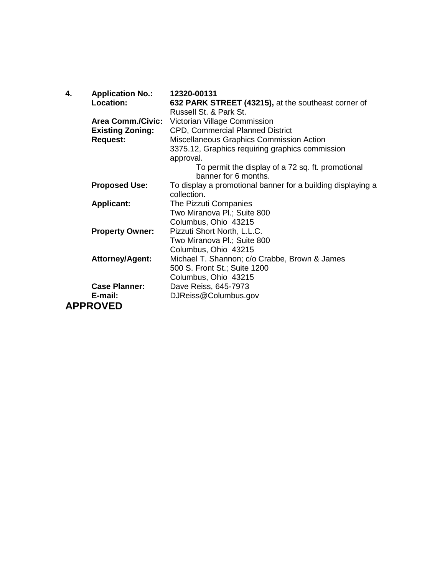| 4. | <b>Application No.:</b><br>Location: | 12320-00131<br>632 PARK STREET (43215), at the southeast corner of |
|----|--------------------------------------|--------------------------------------------------------------------|
|    |                                      | Russell St. & Park St.                                             |
|    | <b>Area Comm./Civic:</b>             | Victorian Village Commission                                       |
|    | <b>Existing Zoning:</b>              | <b>CPD, Commercial Planned District</b>                            |
|    | <b>Request:</b>                      | Miscellaneous Graphics Commission Action                           |
|    |                                      | 3375.12, Graphics requiring graphics commission                    |
|    |                                      | approval.                                                          |
|    |                                      | To permit the display of a 72 sq. ft. promotional                  |
|    |                                      | banner for 6 months.                                               |
|    | <b>Proposed Use:</b>                 | To display a promotional banner for a building displaying a        |
|    |                                      | collection.                                                        |
|    | <b>Applicant:</b>                    | The Pizzuti Companies                                              |
|    |                                      | Two Miranova Pl.; Suite 800                                        |
|    |                                      | Columbus, Ohio 43215                                               |
|    | <b>Property Owner:</b>               | Pizzuti Short North, L.L.C.                                        |
|    |                                      | Two Miranova Pl.; Suite 800                                        |
|    |                                      | Columbus, Ohio 43215                                               |
|    | <b>Attorney/Agent:</b>               | Michael T. Shannon; c/o Crabbe, Brown & James                      |
|    |                                      | 500 S. Front St.; Suite 1200                                       |
|    |                                      | Columbus, Ohio 43215                                               |
|    | <b>Case Planner:</b>                 | Dave Reiss, 645-7973                                               |
|    | E-mail:                              | DJReiss@Columbus.gov                                               |
|    | <b>APPROVED</b>                      |                                                                    |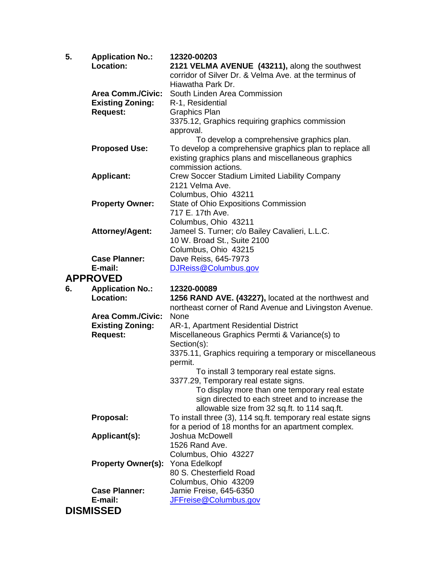| 5. | <b>Application No.:</b><br>Location: | 12320-00203                                                                                                    |
|----|--------------------------------------|----------------------------------------------------------------------------------------------------------------|
|    |                                      | 2121 VELMA AVENUE (43211), along the southwest<br>corridor of Silver Dr. & Velma Ave. at the terminus of       |
|    |                                      | Hiawatha Park Dr.                                                                                              |
|    | <b>Area Comm./Civic:</b>             | South Linden Area Commission                                                                                   |
|    | <b>Existing Zoning:</b>              | R-1, Residential                                                                                               |
|    | <b>Request:</b>                      | <b>Graphics Plan</b><br>3375.12, Graphics requiring graphics commission                                        |
|    |                                      | approval.                                                                                                      |
|    |                                      | To develop a comprehensive graphics plan.                                                                      |
|    | <b>Proposed Use:</b>                 | To develop a comprehensive graphics plan to replace all                                                        |
|    |                                      | existing graphics plans and miscellaneous graphics                                                             |
|    |                                      | commission actions.                                                                                            |
|    | <b>Applicant:</b>                    | Crew Soccer Stadium Limited Liability Company                                                                  |
|    |                                      | 2121 Velma Ave.<br>Columbus, Ohio 43211                                                                        |
|    | <b>Property Owner:</b>               | State of Ohio Expositions Commission                                                                           |
|    |                                      | 717 E. 17th Ave.                                                                                               |
|    |                                      | Columbus, Ohio 43211                                                                                           |
|    | <b>Attorney/Agent:</b>               | Jameel S. Turner; c/o Bailey Cavalieri, L.L.C.                                                                 |
|    |                                      | 10 W. Broad St., Suite 2100                                                                                    |
|    | <b>Case Planner:</b>                 | Columbus, Ohio 43215                                                                                           |
|    | E-mail:                              | Dave Reiss, 645-7973<br>DJReiss@Columbus.gov                                                                   |
|    | <b>APPROVED</b>                      |                                                                                                                |
|    |                                      |                                                                                                                |
|    |                                      |                                                                                                                |
| 6. | <b>Application No.:</b><br>Location: | 12320-00089                                                                                                    |
|    |                                      | 1256 RAND AVE. (43227), located at the northwest and<br>northeast corner of Rand Avenue and Livingston Avenue. |
|    | <b>Area Comm./Civic:</b>             | None                                                                                                           |
|    | <b>Existing Zoning:</b>              | AR-1, Apartment Residential District                                                                           |
|    | <b>Request:</b>                      | Miscellaneous Graphics Permti & Variance(s) to                                                                 |
|    |                                      | Section(s):                                                                                                    |
|    |                                      | 3375.11, Graphics requiring a temporary or miscellaneous<br>permit.                                            |
|    |                                      | To install 3 temporary real estate signs.                                                                      |
|    |                                      | 3377.29, Temporary real estate signs.                                                                          |
|    |                                      | To display more than one temporary real estate                                                                 |
|    |                                      | sign directed to each street and to increase the                                                               |
|    |                                      | allowable size from 32 sq.ft. to 114 saq.ft.                                                                   |
|    | Proposal:                            | To install three (3), 114 sq.ft. temporary real estate signs                                                   |
|    | Applicant(s):                        | for a period of 18 months for an apartment complex.<br>Joshua McDowell                                         |
|    |                                      | 1526 Rand Ave.                                                                                                 |
|    |                                      | Columbus, Ohio 43227                                                                                           |
|    | <b>Property Owner(s):</b>            | Yona Edelkopf                                                                                                  |
|    |                                      | 80 S. Chesterfield Road                                                                                        |
|    |                                      | Columbus, Ohio 43209                                                                                           |
|    | <b>Case Planner:</b><br>E-mail:      | Jamie Freise, 645-6350<br>JFFreise@Columbus.gov                                                                |